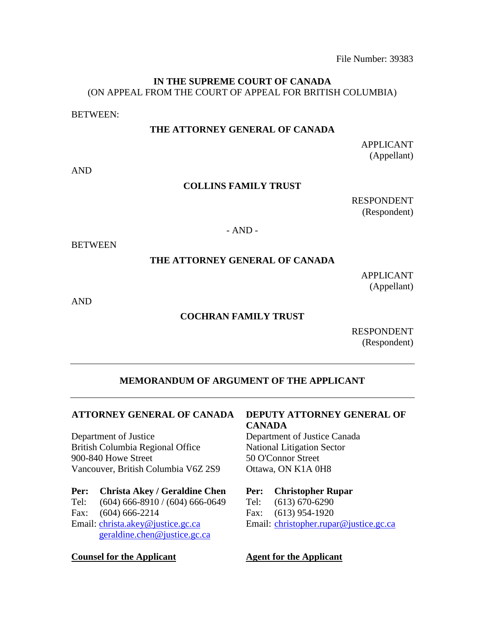File Number: 39383

### **IN THE SUPREME COURT OF CANADA** (ON APPEAL FROM THE COURT OF APPEAL FOR BRITISH COLUMBIA)

BETWEEN:

#### **THE ATTORNEY GENERAL OF CANADA**

APPLICANT (Appellant)

AND

#### **COLLINS FAMILY TRUST**

RESPONDENT (Respondent)

### - AND -

**BETWEEN** 

## **THE ATTORNEY GENERAL OF CANADA**

APPLICANT (Appellant)

AND

### **COCHRAN FAMILY TRUST**

RESPONDENT (Respondent)

# **MEMORANDUM OF ARGUMENT OF THE APPLICANT**

### **ATTORNEY GENERAL OF CANADA**

Department of Justice British Columbia Regional Office 900-840 Howe Street Vancouver, British Columbia V6Z 2S9

#### **Per: Christa Akey / Geraldine Chen**

Tel: (604) 666-8910 / (604) 666-0649 Fax: (604) 666-2214 Email: [christa.akey@justice.gc.ca](mailto:Christa.Akey@justice.gc.ca) [geraldine.chen@justice.gc.ca](mailto:Geraldine.Chen@justice.gc.ca)

### **Counsel for the Applicant**

# **DEPUTY ATTORNEY GENERAL OF CANADA**

Department of Justice Canada National Litigation Sector 50 O'Connor Street Ottawa, ON K1A 0H8

### **Per: Christopher Rupar**

Tel: (613) 670-6290 Fax: (613) 954-1920 Email: [christopher.rupar@justice.gc.ca](mailto:Christopher.Rupar@justice.gc.ca)

### **Agent for the Applicant**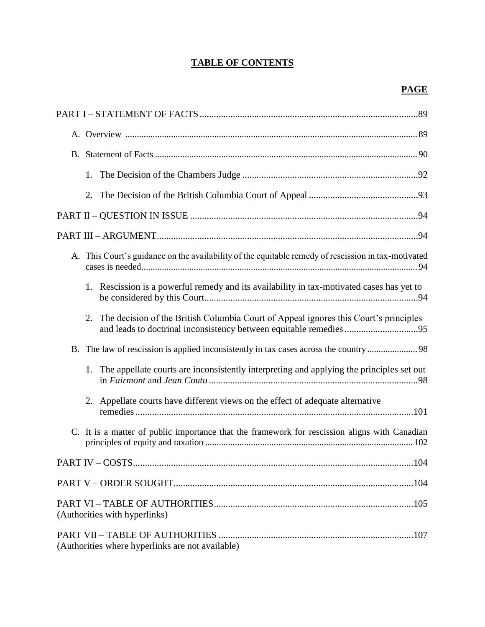# **TABLE OF CONTENTS**

| 1.                            |                                                                                                                                                               |  |  |
|-------------------------------|---------------------------------------------------------------------------------------------------------------------------------------------------------------|--|--|
| 2.                            |                                                                                                                                                               |  |  |
|                               |                                                                                                                                                               |  |  |
|                               |                                                                                                                                                               |  |  |
|                               | A. This Court's guidance on the availability of the equitable remedy of rescission in tax-motivated                                                           |  |  |
|                               | 1. Rescission is a powerful remedy and its availability in tax-motivated cases has yet to                                                                     |  |  |
|                               | 2. The decision of the British Columbia Court of Appeal ignores this Court's principles<br>and leads to doctrinal inconsistency between equitable remedies 95 |  |  |
|                               |                                                                                                                                                               |  |  |
| 1.                            | The appellate courts are inconsistently interpreting and applying the principles set out                                                                      |  |  |
|                               | 2. Appellate courts have different views on the effect of adequate alternative                                                                                |  |  |
|                               | C. It is a matter of public importance that the framework for rescission aligns with Canadian                                                                 |  |  |
|                               |                                                                                                                                                               |  |  |
|                               |                                                                                                                                                               |  |  |
| (Authorities with hyperlinks) |                                                                                                                                                               |  |  |
|                               | (Authorities where hyperlinks are not available)                                                                                                              |  |  |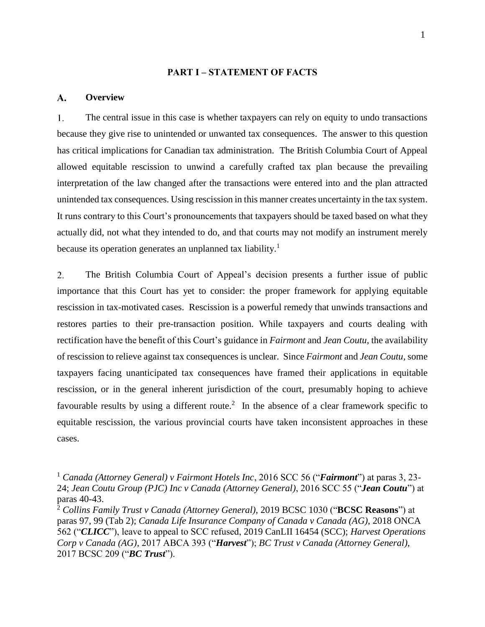#### **PART I – STATEMENT OF FACTS**

#### **Overview**  $\mathbf{A}$ .

 $1<sub>1</sub>$ The central issue in this case is whether taxpayers can rely on equity to undo transactions because they give rise to unintended or unwanted tax consequences. The answer to this question has critical implications for Canadian tax administration. The British Columbia Court of Appeal allowed equitable rescission to unwind a carefully crafted tax plan because the prevailing interpretation of the law changed after the transactions were entered into and the plan attracted unintended tax consequences. Using rescission in this manner creates uncertainty in the tax system. It runs contrary to this Court's pronouncements that taxpayers should be taxed based on what they actually did, not what they intended to do, and that courts may not modify an instrument merely because its operation generates an unplanned tax liability.<sup>1</sup>

 $2.$ The British Columbia Court of Appeal's decision presents a further issue of public importance that this Court has yet to consider: the proper framework for applying equitable rescission in tax-motivated cases. Rescission is a powerful remedy that unwinds transactions and restores parties to their pre-transaction position. While taxpayers and courts dealing with rectification have the benefit of this Court's guidance in *Fairmont* and *Jean Coutu*, the availability of rescission to relieve against tax consequences is unclear. Since *Fairmont* and *Jean Coutu*, some taxpayers facing unanticipated tax consequences have framed their applications in equitable rescission, or in the general inherent jurisdiction of the court, presumably hoping to achieve favourable results by using a different route.<sup>2</sup> In the absence of a clear framework specific to equitable rescission, the various provincial courts have taken inconsistent approaches in these cases.

<sup>1</sup> *Canada (Attorney General) v Fairmont Hotels Inc*, 2016 SCC 56 ("*Fairmont*") at paras 3, 23- 24; *Jean Coutu Group (PJC) Inc v Canada (Attorney General)*, 2016 SCC 55 ("*Jean Coutu*") at paras 40-43.

<sup>2</sup> *Collins Family Trust v Canada (Attorney General)*, 2019 BCSC 1030 ("**BCSC Reasons**") at paras 97, 99 (Tab 2); *Canada Life Insurance Company of Canada v Canada (AG)*, 2018 ONCA 562 ("*CLICC*"), leave to appeal to SCC refused, 2019 CanLII 16454 (SCC); *Harvest Operations Corp v Canada (AG),* 2017 ABCA 393 ("*Harvest*"); *BC Trust v Canada (Attorney General),*  2017 BCSC 209 ("*BC Trust*").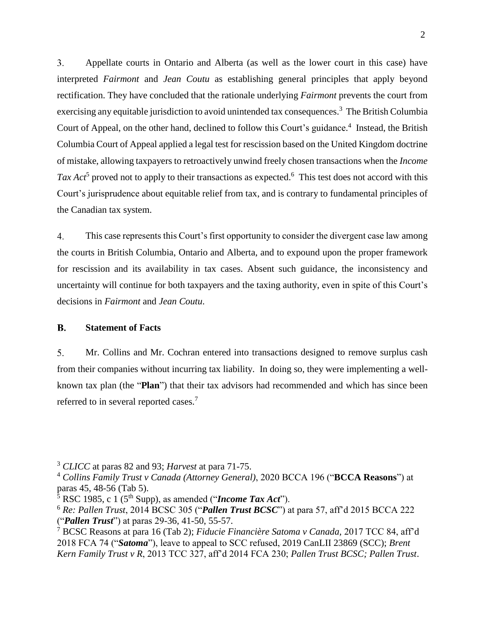$3.$ Appellate courts in Ontario and Alberta (as well as the lower court in this case) have interpreted *Fairmont* and *Jean Coutu* as establishing general principles that apply beyond rectification. They have concluded that the rationale underlying *Fairmont* prevents the court from exercising any equitable jurisdiction to avoid unintended tax consequences.<sup>3</sup> The British Columbia Court of Appeal, on the other hand, declined to follow this Court's guidance.<sup>4</sup> Instead, the British Columbia Court of Appeal applied a legal test for rescission based on the United Kingdom doctrine of mistake, allowing taxpayers to retroactively unwind freely chosen transactions when the *Income*  Tax  $Act^5$  proved not to apply to their transactions as expected.<sup>6</sup> This test does not accord with this Court's jurisprudence about equitable relief from tax, and is contrary to fundamental principles of the Canadian tax system.

 $4.$ This case represents this Court's first opportunity to consider the divergent case law among the courts in British Columbia, Ontario and Alberta, and to expound upon the proper framework for rescission and its availability in tax cases. Absent such guidance, the inconsistency and uncertainty will continue for both taxpayers and the taxing authority, even in spite of this Court's decisions in *Fairmont* and *Jean Coutu*.

#### **B. Statement of Facts**

 $5<sub>1</sub>$ Mr. Collins and Mr. Cochran entered into transactions designed to remove surplus cash from their companies without incurring tax liability. In doing so, they were implementing a wellknown tax plan (the "**Plan**") that their tax advisors had recommended and which has since been referred to in several reported cases.<sup>7</sup>

<sup>3</sup> *CLICC* at paras 82 and 93; *Harvest* at para 71-75.

<sup>4</sup> *Collins Family Trust v Canada (Attorney General)*, 2020 BCCA 196 ("**BCCA Reasons**") at paras 45, 48-56 (Tab 5).

 $5$  RSC 1985, c 1 (5<sup>th</sup> Supp), as amended ("*Income Tax Act*").

<sup>6</sup> *Re: Pallen Trust*, 2014 BCSC 305 ("*Pallen Trust BCSC*") at para 57, aff'd 2015 BCCA 222 ("*Pallen Trust*") at paras 29-36, 41-50, 55-57.

<sup>7</sup> BCSC Reasons at para 16 (Tab 2); *Fiducie Financière Satoma v Canada,* 2017 TCC 84, aff'd 2018 FCA 74 ("*Satoma*"), leave to appeal to SCC refused, 2019 CanLII 23869 (SCC); *Brent Kern Family Trust v R*, 2013 TCC 327, aff'd 2014 FCA 230; *Pallen Trust BCSC; Pallen Trust*.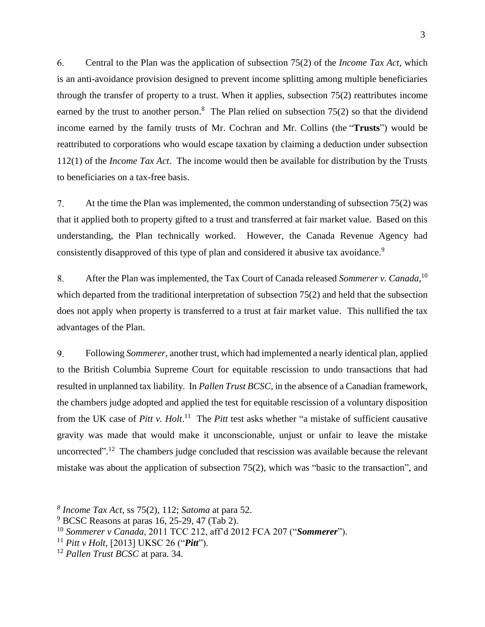6. Central to the Plan was the application of subsection 75(2) of the *Income Tax Act*, which is an anti-avoidance provision designed to prevent income splitting among multiple beneficiaries through the transfer of property to a trust. When it applies, subsection 75(2) reattributes income earned by the trust to another person.<sup>8</sup> The Plan relied on subsection  $75(2)$  so that the dividend income earned by the family trusts of Mr. Cochran and Mr. Collins (the "**Trusts**") would be reattributed to corporations who would escape taxation by claiming a deduction under subsection 112(1) of the *Income Tax Act*. The income would then be available for distribution by the Trusts to beneficiaries on a tax-free basis.

At the time the Plan was implemented, the common understanding of subsection 75(2) was  $7.$ that it applied both to property gifted to a trust and transferred at fair market value. Based on this understanding, the Plan technically worked. However, the Canada Revenue Agency had consistently disapproved of this type of plan and considered it abusive tax avoidance.<sup>9</sup>

After the Plan was implemented, the Tax Court of Canada released *Sommerer v. Canada*, 10 8. which departed from the traditional interpretation of subsection 75(2) and held that the subsection does not apply when property is transferred to a trust at fair market value. This nullified the tax advantages of the Plan.

9. Following *Sommerer*, another trust, which had implemented a nearly identical plan, applied to the British Columbia Supreme Court for equitable rescission to undo transactions that had resulted in unplanned tax liability. In *Pallen Trust BCSC*, in the absence of a Canadian framework, the chambers judge adopted and applied the test for equitable rescission of a voluntary disposition from the UK case of *Pitt v. Holt*. <sup>11</sup> The *Pitt* test asks whether "a mistake of sufficient causative gravity was made that would make it unconscionable, unjust or unfair to leave the mistake uncorrected".<sup>12</sup> The chambers judge concluded that rescission was available because the relevant mistake was about the application of subsection 75(2), which was "basic to the transaction", and

*<sup>8</sup> Income Tax Act*, ss 75(2), 112; *Satoma* at para 52.

 $9$  BCSC Reasons at paras 16, 25-29, 47 (Tab 2).

<sup>10</sup> *Sommerer v Canada*, 2011 TCC 212, aff'd 2012 FCA 207 ("*Sommerer*").

<sup>11</sup> *Pitt v Holt,* [2013] UKSC 26 ("*Pitt*").

<sup>12</sup> *Pallen Trust BCSC* at para. 34.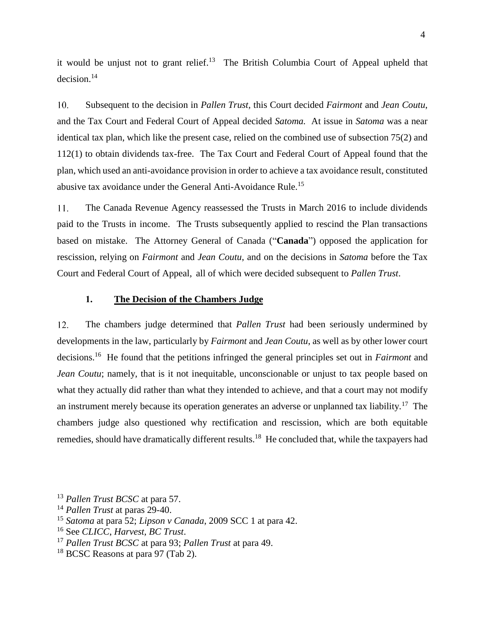it would be unjust not to grant relief.<sup>13</sup> The British Columbia Court of Appeal upheld that decision. 14

10. Subsequent to the decision in *Pallen Trust,* this Court decided *Fairmont* and *Jean Coutu*, and the Tax Court and Federal Court of Appeal decided *Satoma.* At issue in *Satoma* was a near identical tax plan, which like the present case, relied on the combined use of subsection 75(2) and 112(1) to obtain dividends tax-free. The Tax Court and Federal Court of Appeal found that the plan, which used an anti-avoidance provision in order to achieve a tax avoidance result, constituted abusive tax avoidance under the General Anti-Avoidance Rule.<sup>15</sup>

The Canada Revenue Agency reassessed the Trusts in March 2016 to include dividends 11. paid to the Trusts in income. The Trusts subsequently applied to rescind the Plan transactions based on mistake. The Attorney General of Canada ("**Canada**") opposed the application for rescission, relying on *Fairmont* and *Jean Coutu*, and on the decisions in *Satoma* before the Tax Court and Federal Court of Appeal, all of which were decided subsequent to *Pallen Trust*.

#### **1. The Decision of the Chambers Judge**

 $12.$ The chambers judge determined that *Pallen Trust* had been seriously undermined by developments in the law, particularly by *Fairmont* and *Jean Coutu*, as well as by other lower court decisions.<sup>16</sup> He found that the petitions infringed the general principles set out in *Fairmont* and *Jean Coutu*; namely, that is it not inequitable, unconscionable or unjust to tax people based on what they actually did rather than what they intended to achieve, and that a court may not modify an instrument merely because its operation generates an adverse or unplanned tax liability.<sup>17</sup> The chambers judge also questioned why rectification and rescission, which are both equitable remedies, should have dramatically different results.<sup>18</sup> He concluded that, while the taxpayers had

<sup>13</sup> *Pallen Trust BCSC* at para 57.

<sup>14</sup> *Pallen Trust* at paras 29-40.

<sup>15</sup> *Satoma* at para 52; *Lipson v Canada*[, 2009 SCC 1](http://nextcanada.westlaw.com/Link/Document/FullText?findType=Y&pubNum=6407&serNum=2017841177&originationContext=document&transitionType=DocumentItem&vr=3.0&rs=cblt1.0&contextData=(sc.DocLink)) at para 42.

<sup>16</sup> See *CLICC*, *Harvest, BC Trust*.

<sup>17</sup> *Pallen Trust BCSC* at para 93; *Pallen Trust* at para 49.

<sup>&</sup>lt;sup>18</sup> BCSC Reasons at para 97 (Tab 2).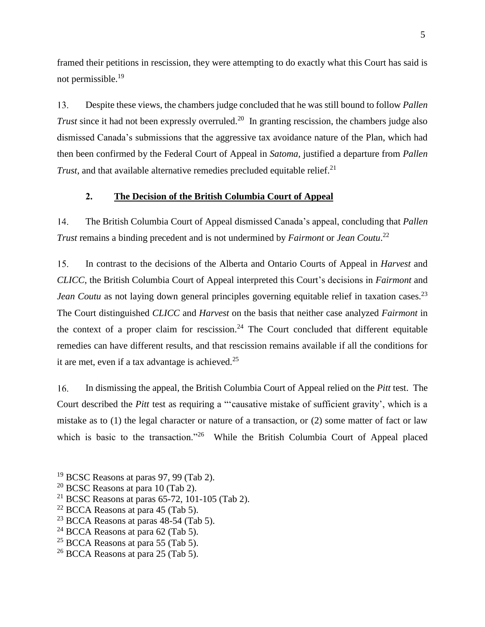framed their petitions in rescission, they were attempting to do exactly what this Court has said is not permissible.<sup>19</sup>

13. Despite these views, the chambers judge concluded that he was still bound to follow *Pallen Trust* since it had not been expressly overruled.<sup>20</sup> In granting rescission, the chambers judge also dismissed Canada's submissions that the aggressive tax avoidance nature of the Plan, which had then been confirmed by the Federal Court of Appeal in *Satoma,* justified a departure from *Pallen Trust*, and that available alternative remedies precluded equitable relief.<sup>21</sup>

### **2. The Decision of the British Columbia Court of Appeal**

14. The British Columbia Court of Appeal dismissed Canada's appeal, concluding that *Pallen Trust* remains a binding precedent and is not undermined by *Fairmont* or *Jean Coutu*. 22

 $15.$ In contrast to the decisions of the Alberta and Ontario Courts of Appeal in *Harvest* and *CLICC*, the British Columbia Court of Appeal interpreted this Court's decisions in *Fairmont* and *Jean Coutu* as not laying down general principles governing equitable relief in taxation cases.<sup>23</sup> The Court distinguished *CLICC* and *Harvest* on the basis that neither case analyzed *Fairmont* in the context of a proper claim for rescission.<sup>24</sup> The Court concluded that different equitable remedies can have different results, and that rescission remains available if all the conditions for it are met, even if a tax advantage is achieved.<sup>25</sup>

16. In dismissing the appeal, the British Columbia Court of Appeal relied on the *Pitt* test. The Court described the *Pitt* test as requiring a "'causative mistake of sufficient gravity', which is a mistake as to (1) the legal character or nature of a transaction, or (2) some matter of fact or law which is basic to the transaction."<sup>26</sup> While the British Columbia Court of Appeal placed

- $19$  BCSC Reasons at paras 97, 99 (Tab 2).
- $20$  BCSC Reasons at para 10 (Tab 2).
- <sup>21</sup> BCSC Reasons at paras  $65-72$ , 101-105 (Tab 2).
- $22$  BCCA Reasons at para 45 (Tab 5).
- $23$  BCCA Reasons at paras 48-54 (Tab 5).
- $24$  BCCA Reasons at para 62 (Tab 5).
- $25$  BCCA Reasons at para 55 (Tab 5).
- <sup>26</sup> BCCA Reasons at para 25 (Tab 5).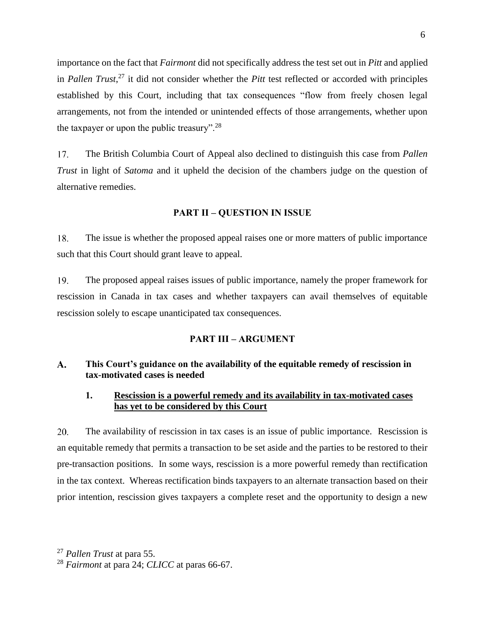importance on the fact that *Fairmont* did not specifically address the test set out in *Pitt* and applied in *Pallen Trust*, <sup>27</sup> it did not consider whether the *Pitt* test reflected or accorded with principles established by this Court, including that tax consequences "flow from freely chosen legal arrangements, not from the intended or unintended effects of those arrangements, whether upon the taxpayer or upon the public treasury".<sup>28</sup>

 $17.$ The British Columbia Court of Appeal also declined to distinguish this case from *Pallen Trust* in light of *Satoma* and it upheld the decision of the chambers judge on the question of alternative remedies.

#### **PART II – QUESTION IN ISSUE**

18. The issue is whether the proposed appeal raises one or more matters of public importance such that this Court should grant leave to appeal.

19 The proposed appeal raises issues of public importance, namely the proper framework for rescission in Canada in tax cases and whether taxpayers can avail themselves of equitable rescission solely to escape unanticipated tax consequences.

#### **PART III – ARGUMENT**

#### **This Court's guidance on the availability of the equitable remedy of rescission in**   $\mathbf{A}$ . **tax-motivated cases is needed**

## **1. Rescission is a powerful remedy and its availability in tax-motivated cases has yet to be considered by this Court**

20. The availability of rescission in tax cases is an issue of public importance. Rescission is an equitable remedy that permits a transaction to be set aside and the parties to be restored to their pre-transaction positions. In some ways, rescission is a more powerful remedy than rectification in the tax context. Whereas rectification binds taxpayers to an alternate transaction based on their prior intention, rescission gives taxpayers a complete reset and the opportunity to design a new

<sup>27</sup> *Pallen Trust* at para 55.

<sup>28</sup> *Fairmont* at para 24; *CLICC* at paras 66-67.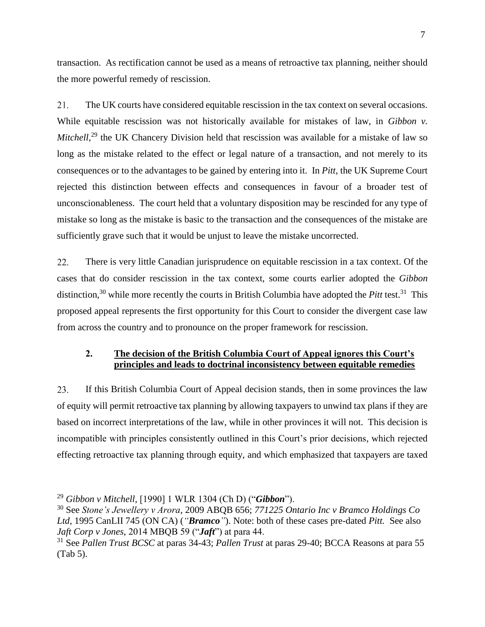transaction. As rectification cannot be used as a means of retroactive tax planning, neither should the more powerful remedy of rescission.

21. The UK courts have considered equitable rescission in the tax context on several occasions. While equitable rescission was not historically available for mistakes of law, in *Gibbon v.* Mitchell,<sup>29</sup> the UK Chancery Division held that rescission was available for a mistake of law so long as the mistake related to the effect or legal nature of a transaction, and not merely to its consequences or to the advantages to be gained by entering into it. In *Pitt*, the UK Supreme Court rejected this distinction between effects and consequences in favour of a broader test of unconscionableness. The court held that a voluntary disposition may be rescinded for any type of mistake so long as the mistake is basic to the transaction and the consequences of the mistake are sufficiently grave such that it would be unjust to leave the mistake uncorrected.

22. There is very little Canadian jurisprudence on equitable rescission in a tax context. Of the cases that do consider rescission in the tax context, some courts earlier adopted the *Gibbon* distinction,<sup>30</sup> while more recently the courts in British Columbia have adopted the *Pitt* test.<sup>31</sup> This proposed appeal represents the first opportunity for this Court to consider the divergent case law from across the country and to pronounce on the proper framework for rescission.

## **2. The decision of the British Columbia Court of Appeal ignores this Court's principles and leads to doctrinal inconsistency between equitable remedies**

23. If this British Columbia Court of Appeal decision stands, then in some provinces the law of equity will permit retroactive tax planning by allowing taxpayers to unwind tax plans if they are based on incorrect interpretations of the law, while in other provinces it will not. This decision is incompatible with principles consistently outlined in this Court's prior decisions, which rejected effecting retroactive tax planning through equity, and which emphasized that taxpayers are taxed

<sup>29</sup> *Gibbon v Mitchell*, [1990] 1 WLR 1304 (Ch D) ("*Gibbon*").

<sup>30</sup> See *Stone's Jewellery v Arora*, 2009 ABQB 656; *771225 Ontario Inc v Bramco Holdings Co Ltd,* 1995 CanLII 745 (ON CA) (*"Bramco"*). Note: both of these cases pre-dated *Pitt.* See also *Jaft Corp v Jones*, 2014 MBQB 59 ("*Jaft*") at para 44.

<sup>31</sup> See *Pallen Trust BCSC* at paras 34-43; *Pallen Trust* at paras 29-40; BCCA Reasons at para 55 (Tab 5).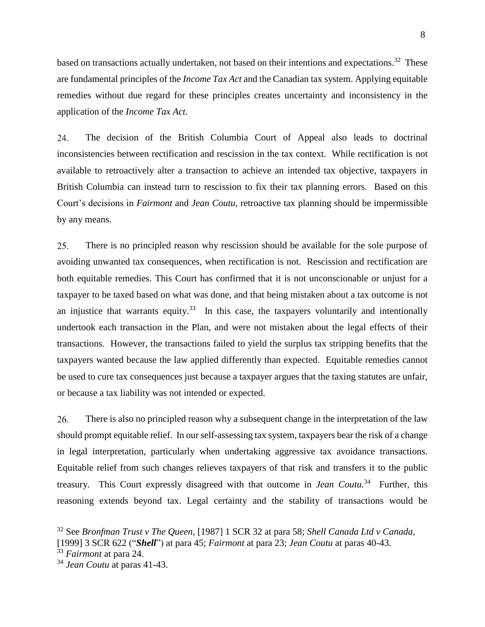8

based on transactions actually undertaken, not based on their intentions and expectations.<sup>32</sup> These are fundamental principles of the *Income Tax Act* and the Canadian tax system. Applying equitable remedies without due regard for these principles creates uncertainty and inconsistency in the application of the *Income Tax Act.*

24. The decision of the British Columbia Court of Appeal also leads to doctrinal inconsistencies between rectification and rescission in the tax context. While rectification is not available to retroactively alter a transaction to achieve an intended tax objective, taxpayers in British Columbia can instead turn to rescission to fix their tax planning errors. Based on this Court's decisions in *Fairmont* and *Jean Coutu,* retroactive tax planning should be impermissible by any means.

There is no principled reason why rescission should be available for the sole purpose of 25. avoiding unwanted tax consequences, when rectification is not. Rescission and rectification are both equitable remedies. This Court has confirmed that it is not unconscionable or unjust for a taxpayer to be taxed based on what was done, and that being mistaken about a tax outcome is not an injustice that warrants equity.<sup>33</sup> In this case, the taxpayers voluntarily and intentionally undertook each transaction in the Plan, and were not mistaken about the legal effects of their transactions. However, the transactions failed to yield the surplus tax stripping benefits that the taxpayers wanted because the law applied differently than expected. Equitable remedies cannot be used to cure tax consequences just because a taxpayer argues that the taxing statutes are unfair, or because a tax liability was not intended or expected.

26. There is also no principled reason why a subsequent change in the interpretation of the law should prompt equitable relief. In our self-assessing tax system, taxpayers bear the risk of a change in legal interpretation, particularly when undertaking aggressive tax avoidance transactions. Equitable relief from such changes relieves taxpayers of that risk and transfers it to the public treasury. This Court expressly disagreed with that outcome in *Jean Coutu.*<sup>34</sup> Further, this reasoning extends beyond tax. Legal certainty and the stability of transactions would be

<sup>32</sup> See *Bronfman Trust v The Queen*, [1987] 1 SCR 32 at para 58; *Shell Canada Ltd v Canada*, [1999] 3 SCR 622 ("*Shell*") at para 45; *Fairmont* at para 23; *Jean Coutu* at paras 40-43.

<sup>33</sup> *Fairmont* at para 24.

<sup>34</sup> *Jean Coutu* at paras 41-43.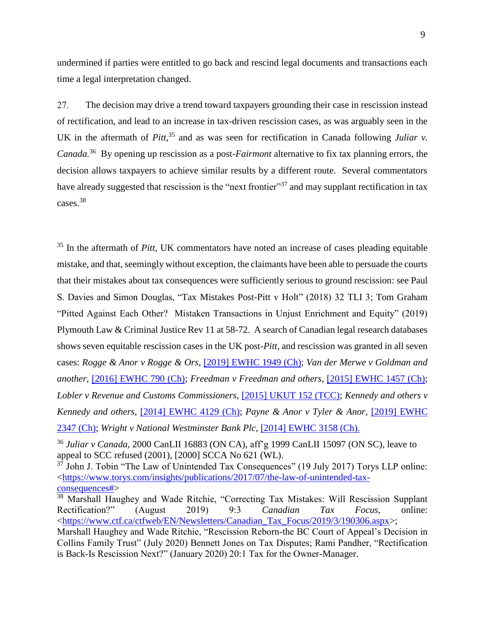undermined if parties were entitled to go back and rescind legal documents and transactions each time a legal interpretation changed.

27. The decision may drive a trend toward taxpayers grounding their case in rescission instead of rectification, and lead to an increase in tax-driven rescission cases, as was arguably seen in the UK in the aftermath of *Pitt*,<sup>35</sup> and as was seen for rectification in Canada following *Juliar v*. *Canada*.<sup>36</sup> By opening up rescission as a post-*Fairmont* alternative to fix tax planning errors, the decision allows taxpayers to achieve similar results by a different route. Several commentators have already suggested that rescission is the "next frontier"<sup>37</sup> and may supplant rectification in tax cases.<sup>38</sup>

<sup>35</sup> In the aftermath of *Pitt*, UK commentators have noted an increase of cases pleading equitable mistake, and that, seemingly without exception, the claimants have been able to persuade the courts that their mistakes about tax consequences were sufficiently serious to ground rescission: see Paul S. Davies and Simon Douglas, "Tax Mistakes Post-Pitt v Holt" (2018) 32 TLI 3; Tom Graham "Pitted Against Each Other? Mistaken Transactions in Unjust Enrichment and Equity" (2019) Plymouth Law & Criminal Justice Rev 11 at 58-72. A search of Canadian legal research databases shows seven equitable rescission cases in the UK post-*Pitt*, and rescission was granted in all seven cases: *Rogge & Anor v Rogge & Ors*, [\[2019\] EWHC 1949 \(Ch\);](https://www.bailii.org/ew/cases/EWHC/Ch/2019/1949.pdf) *Van der Merwe v Goldman and another*, [\[2016\] EWHC 790 \(Ch\);](https://www.bailii.org/cgi-bin/format.cgi?doc=/ew/cases/EWHC/Ch/2016/790.html&query=(.2016.)+AND+(EWHC)+AND+(790)+AND+((Ch))) *Freedman v Freedman and others*, [\[2015\] EWHC 1457 \(Ch\);](https://www.bailii.org/cgi-bin/format.cgi?doc=/ew/cases/EWHC/Ch/2015/1457.html&query=(.2015.)+AND+(EWHC)+AND+(1457)+AND+((Ch))) *Lobler v Revenue and Customs Commissioners*, [\[2015\] UKUT 152 \(TCC\);](https://assets.publishing.service.gov.uk/media/576e37f3e5274a0da30000df/Lobler-v-HMRC.pdf) *Kennedy and others v Kennedy and others*, [\[2014\] EWHC](https://www.bailii.org/cgi-bin/format.cgi?doc=/ew/cases/EWHC/Ch/2014/4129.html&query=(.2014.)+AND+(EWHC)+AND+(4129)+AND+((Ch)) 4129 (Ch); *Payne & Anor v Tyler & Anor*, [\[2019\] EWHC](https://www.bailii.org/ew/cases/EWHC/Ch/2019/2347.pdf)  [2347 \(Ch\);](https://www.bailii.org/ew/cases/EWHC/Ch/2019/2347.pdf) *Wright v National Westminster Bank Plc*, [\[2014\] EWHC 3158 \(Ch\).](https://app.justis.com/case/wright-and-another-v-national-westminster-bank-plc/overview/aXadm5qtmZmdl)

<sup>36</sup> *Juliar v Canada,* 2000 CanLII 16883 (ON CA), aff'g 1999 CanLII 15097 (ON SC), leave to appeal to SCC refused (2001), [2000] SCCA No 621 (WL).

<sup>37</sup> John J. Tobin "The Law of Unintended Tax Consequences" (19 July 2017) Torys LLP online: [<https://www.torys.com/insights/publications/2017/07/the-law-of-unintended-tax](https://www.torys.com/insights/publications/2017/07/the-law-of-unintended-tax-consequences)[consequences#>](https://www.torys.com/insights/publications/2017/07/the-law-of-unintended-tax-consequences)

<sup>38</sup> Marshall Haughey and Wade Ritchie, "Correcting Tax Mistakes: Will Rescission Supplant Rectification?" (August 2019) 9:3 *Canadian Tax Focus*, online: [<https://www.ctf.ca/ctfweb/EN/Newsletters/Canadian\\_Tax\\_Focus/2019/3/190306.aspx>](https://www.ctf.ca/ctfweb/EN/Newsletters/Canadian_Tax_Focus/2019/3/190306.aspx);

Marshall Haughey and Wade Ritchie, "Rescission Reborn-the BC Court of Appeal's Decision in Collins Family Trust" (July 2020) Bennett Jones on Tax Disputes; Rami Pandher, "Rectification is Back-Is Rescission Next?" (January 2020) 20:1 Tax for the Owner-Manager.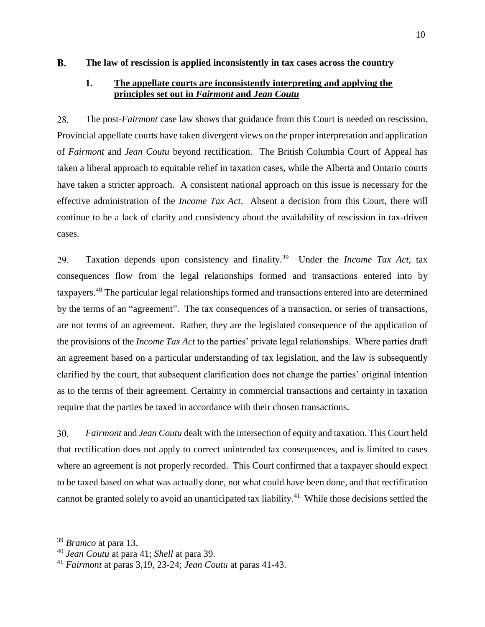#### $\mathbf{B}$ . **The law of rescission is applied inconsistently in tax cases across the country**

## **1. The appellate courts are inconsistently interpreting and applying the principles set out in** *Fairmont* **and** *Jean Coutu*

28. The post-*Fairmont* case law shows that guidance from this Court is needed on rescission. Provincial appellate courts have taken divergent views on the proper interpretation and application of *Fairmont* and *Jean Coutu* beyond rectification. The British Columbia Court of Appeal has taken a liberal approach to equitable relief in taxation cases, while the Alberta and Ontario courts have taken a stricter approach. A consistent national approach on this issue is necessary for the effective administration of the *Income Tax Act*. Absent a decision from this Court, there will continue to be a lack of clarity and consistency about the availability of rescission in tax-driven cases.

Taxation depends upon consistency and finality.<sup>39</sup> Under the *Income Tax Act,* tax 29. consequences flow from the legal relationships formed and transactions entered into by taxpayers.<sup>40</sup> The particular legal relationships formed and transactions entered into are determined by the terms of an "agreement". The tax consequences of a transaction, or series of transactions, are not terms of an agreement. Rather, they are the legislated consequence of the application of the provisions of the *Income Tax Act* to the parties' private legal relationships. Where parties draft an agreement based on a particular understanding of tax legislation, and the law is subsequently clarified by the court, that subsequent clarification does not change the parties' original intention as to the terms of their agreement. Certainty in commercial transactions and certainty in taxation require that the parties be taxed in accordance with their chosen transactions.

30. *Fairmont* and *Jean Coutu* dealt with the intersection of equity and taxation. This Court held that rectification does not apply to correct unintended tax consequences, and is limited to cases where an agreement is not properly recorded. This Court confirmed that a taxpayer should expect to be taxed based on what was actually done, not what could have been done, and that rectification cannot be granted solely to avoid an unanticipated tax liability.<sup>41</sup> While those decisions settled the

<sup>39</sup> *Bramco* at para 13.

<sup>40</sup> *Jean Coutu* at para 41; *Shell* at para 39.

<sup>41</sup> *Fairmont* at paras 3,19, 23-24; *Jean Coutu* at paras 41-43.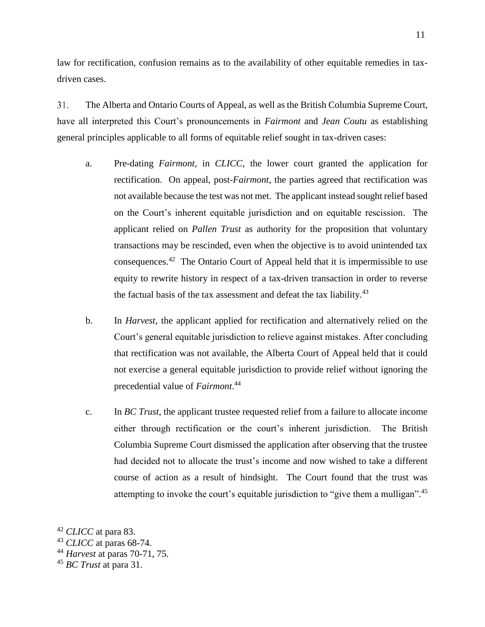law for rectification, confusion remains as to the availability of other equitable remedies in taxdriven cases.

31. The Alberta and Ontario Courts of Appeal, as well as the British Columbia Supreme Court, have all interpreted this Court's pronouncements in *Fairmont* and *Jean Coutu* as establishing general principles applicable to all forms of equitable relief sought in tax-driven cases:

- a. Pre-dating *Fairmont*, in *CLICC*, the lower court granted the application for rectification. On appeal, post-*Fairmont*, the parties agreed that rectification was not available because the test was not met. The applicant instead sought relief based on the Court's inherent equitable jurisdiction and on equitable rescission. The applicant relied on *Pallen Trust* as authority for the proposition that voluntary transactions may be rescinded, even when the objective is to avoid unintended tax consequences.<sup>42</sup> The Ontario Court of Appeal held that it is impermissible to use equity to rewrite history in respect of a tax-driven transaction in order to reverse the factual basis of the tax assessment and defeat the tax liability.<sup>43</sup>
- b. In *Harvest*, the applicant applied for rectification and alternatively relied on the Court's general equitable jurisdiction to relieve against mistakes. After concluding that rectification was not available, the Alberta Court of Appeal held that it could not exercise a general equitable jurisdiction to provide relief without ignoring the precedential value of *Fairmont*. 44
- c. In *BC Trust*, the applicant trustee requested relief from a failure to allocate income either through rectification or the court's inherent jurisdiction. The British Columbia Supreme Court dismissed the application after observing that the trustee had decided not to allocate the trust's income and now wished to take a different course of action as a result of hindsight. The Court found that the trust was attempting to invoke the court's equitable jurisdiction to "give them a mulligan".<sup>45</sup>

<sup>42</sup> *CLICC* at para 83.

<sup>43</sup> *CLICC* at paras 68-74.

<sup>44</sup> *Harvest* at paras 70-71, 75.

<sup>45</sup> *BC Trust* at para 31.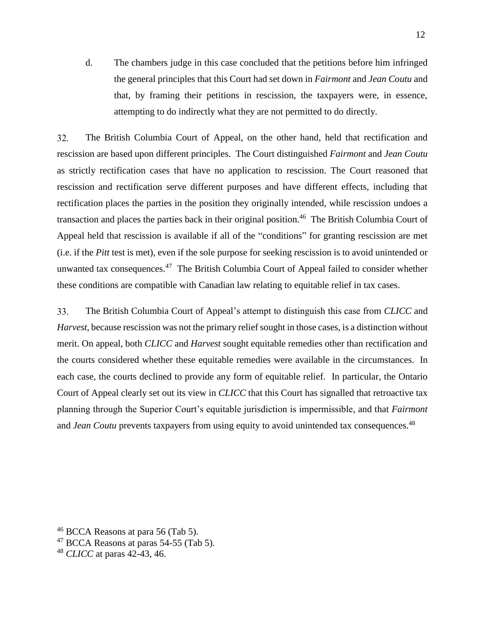d. The chambers judge in this case concluded that the petitions before him infringed the general principles that this Court had set down in *Fairmont* and *Jean Coutu* and that, by framing their petitions in rescission, the taxpayers were, in essence, attempting to do indirectly what they are not permitted to do directly.

32. The British Columbia Court of Appeal, on the other hand, held that rectification and rescission are based upon different principles. The Court distinguished *Fairmont* and *Jean Coutu* as strictly rectification cases that have no application to rescission. The Court reasoned that rescission and rectification serve different purposes and have different effects, including that rectification places the parties in the position they originally intended, while rescission undoes a transaction and places the parties back in their original position.<sup>46</sup> The British Columbia Court of Appeal held that rescission is available if all of the "conditions" for granting rescission are met (i.e. if the *Pitt* test is met), even if the sole purpose for seeking rescission is to avoid unintended or unwanted tax consequences.<sup>47</sup> The British Columbia Court of Appeal failed to consider whether these conditions are compatible with Canadian law relating to equitable relief in tax cases.

33. The British Columbia Court of Appeal's attempt to distinguish this case from *CLICC* and *Harvest,* because rescission was not the primary relief sought in those cases, is a distinction without merit. On appeal, both *CLICC* and *Harvest* sought equitable remedies other than rectification and the courts considered whether these equitable remedies were available in the circumstances. In each case, the courts declined to provide any form of equitable relief. In particular, the Ontario Court of Appeal clearly set out its view in *CLICC* that this Court has signalled that retroactive tax planning through the Superior Court's equitable jurisdiction is impermissible, and that *Fairmont*  and *Jean Coutu* prevents taxpayers from using equity to avoid unintended tax consequences.<sup>48</sup>

 $46$  BCCA Reasons at para 56 (Tab 5).

 $47$  BCCA Reasons at paras 54-55 (Tab 5).

<sup>48</sup> *CLICC* at paras 42-43, 46.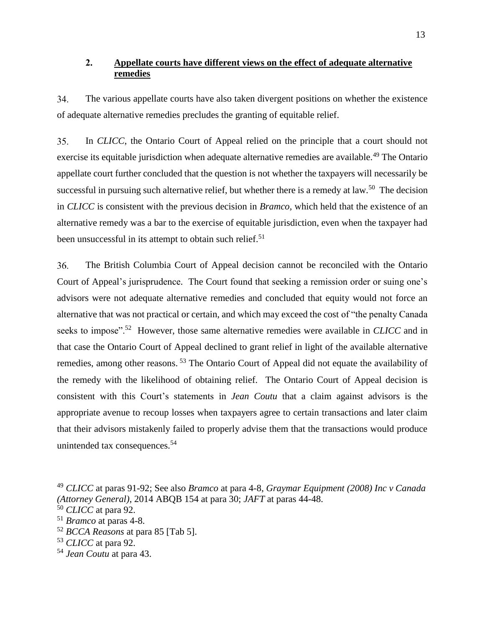# **2. Appellate courts have different views on the effect of adequate alternative remedies**

34. The various appellate courts have also taken divergent positions on whether the existence of adequate alternative remedies precludes the granting of equitable relief.

35. In *CLICC*, the Ontario Court of Appeal relied on the principle that a court should not exercise its equitable jurisdiction when adequate alternative remedies are available.<sup>49</sup> The Ontario appellate court further concluded that the question is not whether the taxpayers will necessarily be successful in pursuing such alternative relief, but whether there is a remedy at law.<sup>50</sup> The decision in *CLICC* is consistent with the previous decision in *Bramco,* which held that the existence of an alternative remedy was a bar to the exercise of equitable jurisdiction, even when the taxpayer had been unsuccessful in its attempt to obtain such relief.<sup>51</sup>

36. The British Columbia Court of Appeal decision cannot be reconciled with the Ontario Court of Appeal's jurisprudence. The Court found that seeking a remission order or suing one's advisors were not adequate alternative remedies and concluded that equity would not force an alternative that was not practical or certain, and which may exceed the cost of "the penalty Canada seeks to impose".<sup>52</sup> However, those same alternative remedies were available in *CLICC* and in that case the Ontario Court of Appeal declined to grant relief in light of the available alternative remedies, among other reasons.<sup>53</sup> The Ontario Court of Appeal did not equate the availability of the remedy with the likelihood of obtaining relief. The Ontario Court of Appeal decision is consistent with this Court's statements in *Jean Coutu* that a claim against advisors is the appropriate avenue to recoup losses when taxpayers agree to certain transactions and later claim that their advisors mistakenly failed to properly advise them that the transactions would produce unintended tax consequences.<sup>54</sup>

<sup>52</sup> *BCCA Reasons* at para 85 [Tab 5].

<sup>49</sup> *CLICC* at paras 91-92; See also *Bramco* at para 4-8, *Graymar Equipment (2008) Inc v Canada (Attorney General)*, 2014 ABQB 154 at para 30; *JAFT* at paras 44-48.

<sup>50</sup> *CLICC* at para 92.

<sup>51</sup> *Bramco* at paras 4-8.

<sup>53</sup> *CLICC* at para 92.

<sup>54</sup> *Jean Coutu* at para 43.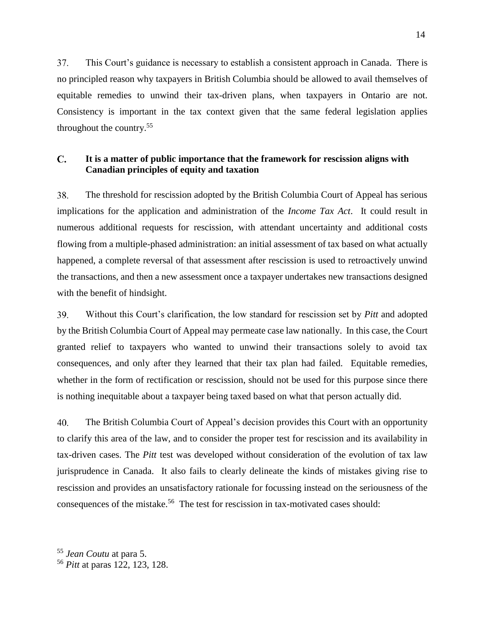37. This Court's guidance is necessary to establish a consistent approach in Canada. There is no principled reason why taxpayers in British Columbia should be allowed to avail themselves of equitable remedies to unwind their tax-driven plans, when taxpayers in Ontario are not. Consistency is important in the tax context given that the same federal legislation applies throughout the country.<sup>55</sup>

#### $\mathbf{C}$ . **It is a matter of public importance that the framework for rescission aligns with Canadian principles of equity and taxation**

38. The threshold for rescission adopted by the British Columbia Court of Appeal has serious implications for the application and administration of the *Income Tax Act*. It could result in numerous additional requests for rescission, with attendant uncertainty and additional costs flowing from a multiple-phased administration: an initial assessment of tax based on what actually happened, a complete reversal of that assessment after rescission is used to retroactively unwind the transactions, and then a new assessment once a taxpayer undertakes new transactions designed with the benefit of hindsight.

39. Without this Court's clarification, the low standard for rescission set by *Pitt* and adopted by the British Columbia Court of Appeal may permeate case law nationally. In this case, the Court granted relief to taxpayers who wanted to unwind their transactions solely to avoid tax consequences, and only after they learned that their tax plan had failed. Equitable remedies, whether in the form of rectification or rescission, should not be used for this purpose since there is nothing inequitable about a taxpayer being taxed based on what that person actually did.

40. The British Columbia Court of Appeal's decision provides this Court with an opportunity to clarify this area of the law, and to consider the proper test for rescission and its availability in tax-driven cases. The *Pitt* test was developed without consideration of the evolution of tax law jurisprudence in Canada. It also fails to clearly delineate the kinds of mistakes giving rise to rescission and provides an unsatisfactory rationale for focussing instead on the seriousness of the consequences of the mistake.<sup>56</sup> The test for rescission in tax-motivated cases should:

<sup>55</sup> *Jean Coutu* at para 5.

<sup>56</sup> *Pitt* at paras 122, 123, 128.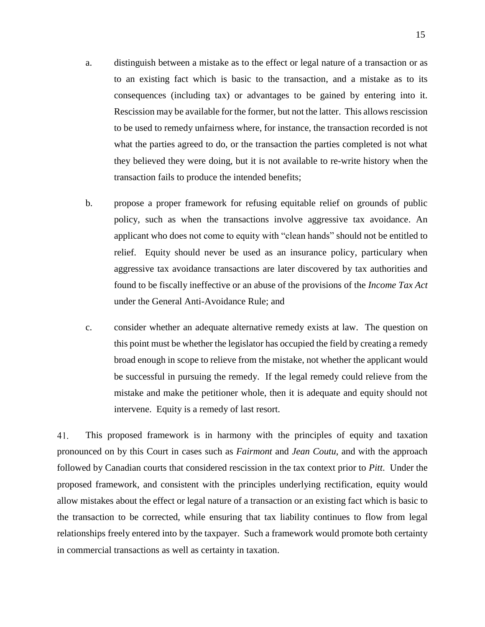- a. distinguish between a mistake as to the effect or legal nature of a transaction or as to an existing fact which is basic to the transaction, and a mistake as to its consequences (including tax) or advantages to be gained by entering into it. Rescission may be available for the former, but not the latter. This allows rescission to be used to remedy unfairness where, for instance, the transaction recorded is not what the parties agreed to do, or the transaction the parties completed is not what they believed they were doing, but it is not available to re-write history when the transaction fails to produce the intended benefits;
- b. propose a proper framework for refusing equitable relief on grounds of public policy, such as when the transactions involve aggressive tax avoidance. An applicant who does not come to equity with "clean hands" should not be entitled to relief. Equity should never be used as an insurance policy, particulary when aggressive tax avoidance transactions are later discovered by tax authorities and found to be fiscally ineffective or an abuse of the provisions of the *Income Tax Act* under the General Anti-Avoidance Rule; and
- c. consider whether an adequate alternative remedy exists at law. The question on this point must be whether the legislator has occupied the field by creating a remedy broad enough in scope to relieve from the mistake, not whether the applicant would be successful in pursuing the remedy. If the legal remedy could relieve from the mistake and make the petitioner whole, then it is adequate and equity should not intervene. Equity is a remedy of last resort.

41. This proposed framework is in harmony with the principles of equity and taxation pronounced on by this Court in cases such as *Fairmont* and *Jean Coutu*, and with the approach followed by Canadian courts that considered rescission in the tax context prior to *Pitt*. Under the proposed framework, and consistent with the principles underlying rectification, equity would allow mistakes about the effect or legal nature of a transaction or an existing fact which is basic to the transaction to be corrected, while ensuring that tax liability continues to flow from legal relationships freely entered into by the taxpayer. Such a framework would promote both certainty in commercial transactions as well as certainty in taxation.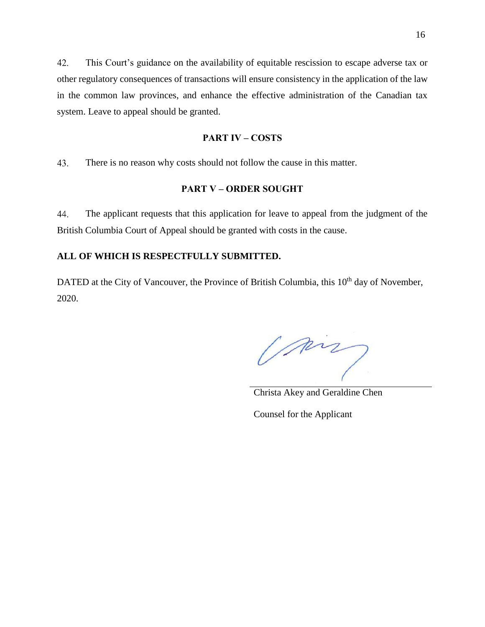42. This Court's guidance on the availability of equitable rescission to escape adverse tax or other regulatory consequences of transactions will ensure consistency in the application of the law in the common law provinces, and enhance the effective administration of the Canadian tax system. Leave to appeal should be granted.

#### **PART IV – COSTS**

43. There is no reason why costs should not follow the cause in this matter.

## **PART V – ORDER SOUGHT**

44. The applicant requests that this application for leave to appeal from the judgment of the British Columbia Court of Appeal should be granted with costs in the cause.

#### **ALL OF WHICH IS RESPECTFULLY SUBMITTED.**

DATED at the City of Vancouver, the Province of British Columbia, this 10<sup>th</sup> day of November, 2020.

m

Christa Akey and Geraldine Chen

Counsel for the Applicant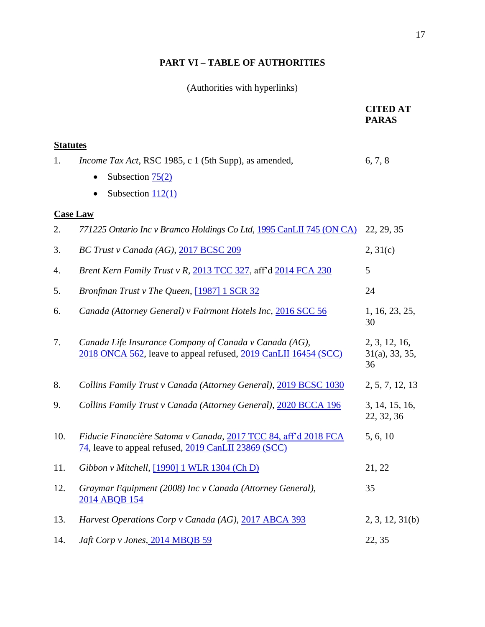# **PART VI – TABLE OF AUTHORITIES**

# (Authorities with hyperlinks)

|                 |                                                                                                                           | <b>CITED AT</b><br><b>PARAS</b>                |  |  |
|-----------------|---------------------------------------------------------------------------------------------------------------------------|------------------------------------------------|--|--|
| <b>Statutes</b> |                                                                                                                           |                                                |  |  |
| 1.              | <i>Income Tax Act</i> , RSC 1985, c 1 (5th Supp), as amended,                                                             | 6, 7, 8                                        |  |  |
|                 | Subsection $75(2)$                                                                                                        |                                                |  |  |
|                 | Subsection $112(1)$                                                                                                       |                                                |  |  |
| <b>Case Law</b> |                                                                                                                           |                                                |  |  |
| 2.              | 771225 Ontario Inc v Bramco Holdings Co Ltd, 1995 CanLII 745 (ON CA)                                                      | 22, 29, 35                                     |  |  |
| 3.              | BC Trust v Canada (AG), 2017 BCSC 209                                                                                     | 2, 31(c)                                       |  |  |
| 4.              | Brent Kern Family Trust v R, 2013 TCC 327, aff'd 2014 FCA 230                                                             | 5                                              |  |  |
| 5.              | Bronfman Trust v The Queen, [1987] 1 SCR 32                                                                               | 24                                             |  |  |
| 6.              | Canada (Attorney General) v Fairmont Hotels Inc, 2016 SCC 56                                                              | 1, 16, 23, 25,<br>30                           |  |  |
| 7.              | Canada Life Insurance Company of Canada v Canada (AG),<br>2018 ONCA 562, leave to appeal refused, 2019 CanLII 16454 (SCC) | 2, 3, 12, 16,<br>$31(a)$ , $33$ , $35$ ,<br>36 |  |  |
| 8.              | Collins Family Trust v Canada (Attorney General), 2019 BCSC 1030                                                          | 2, 5, 7, 12, 13                                |  |  |
| 9.              | Collins Family Trust v Canada (Attorney General), 2020 BCCA 196                                                           | 3, 14, 15, 16,<br>22, 32, 36                   |  |  |
| 10.             | Fiducie Financière Satoma v Canada, 2017 TCC 84, aff'd 2018 FCA<br>74, leave to appeal refused, 2019 CanLII 23869 (SCC)   | 5, 6, 10                                       |  |  |
| 11.             | Gibbon v Mitchell, [1990] 1 WLR 1304 (Ch D)                                                                               | 21, 22                                         |  |  |
| 12.             | Graymar Equipment (2008) Inc v Canada (Attorney General),<br>2014 ABQB 154                                                | 35                                             |  |  |
| 13.             | Harvest Operations Corp v Canada (AG), 2017 ABCA 393                                                                      | 2, 3, 12, 31(b)                                |  |  |
| 14.             | Jaft Corp v Jones, 2014 MBQB 59                                                                                           | 22, 35                                         |  |  |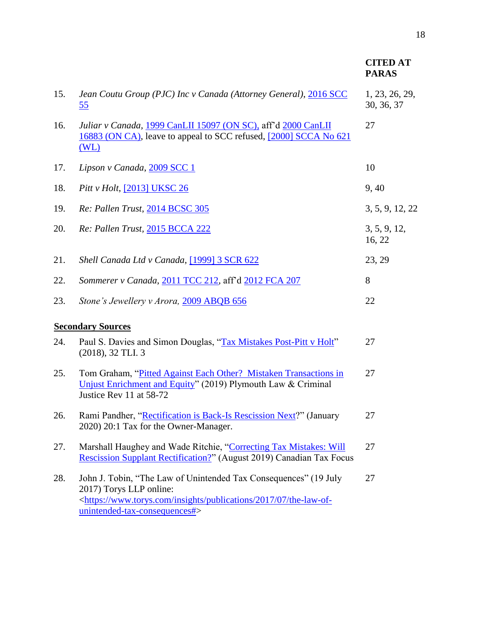|     |                                                                                                                                                                                                                               | <b>CITED AT</b><br><b>PARAS</b> |
|-----|-------------------------------------------------------------------------------------------------------------------------------------------------------------------------------------------------------------------------------|---------------------------------|
| 15. | Jean Coutu Group (PJC) Inc v Canada (Attorney General), 2016 SCC<br><u>55</u>                                                                                                                                                 | 1, 23, 26, 29,<br>30, 36, 37    |
| 16. | Juliar v Canada, 1999 CanLII 15097 (ON SC), aff'd 2000 CanLII<br>16883 (ON CA), leave to appeal to SCC refused, [2000] SCCA No 621<br>(WL)                                                                                    | 27                              |
| 17. | Lipson v Canada, 2009 SCC 1                                                                                                                                                                                                   | 10                              |
| 18. | Pitt v Holt, [2013] UKSC 26                                                                                                                                                                                                   | 9, 40                           |
| 19. | Re: Pallen Trust, 2014 BCSC 305                                                                                                                                                                                               | 3, 5, 9, 12, 22                 |
| 20. | Re: Pallen Trust, 2015 BCCA 222                                                                                                                                                                                               | 3, 5, 9, 12,<br>16, 22          |
| 21. | Shell Canada Ltd v Canada, [1999] 3 SCR 622                                                                                                                                                                                   | 23, 29                          |
| 22. | Sommerer v Canada, 2011 TCC 212, aff'd 2012 FCA 207                                                                                                                                                                           | 8                               |
| 23. | Stone's Jewellery v Arora, 2009 ABQB 656                                                                                                                                                                                      | 22                              |
|     | <b>Secondary Sources</b>                                                                                                                                                                                                      |                                 |
| 24. | Paul S. Davies and Simon Douglas, "Tax Mistakes Post-Pitt v Holt"<br>$(2018), 32$ TLI. 3                                                                                                                                      | 27                              |
| 25. | Tom Graham, "Pitted Against Each Other? Mistaken Transactions in<br>Unjust Enrichment and Equity" (2019) Plymouth Law & Criminal<br>Justice Rev 11 at 58-72                                                                   | 27                              |
| 26. | Rami Pandher, "Rectification is Back-Is Rescission Next?" (January<br>2020) 20:1 Tax for the Owner-Manager.                                                                                                                   | 27                              |
| 27. | Marshall Haughey and Wade Ritchie, "Correcting Tax Mistakes: Will<br><b>Rescission Supplant Rectification?"</b> (August 2019) Canadian Tax Focus                                                                              | 27                              |
| 28. | John J. Tobin, "The Law of Unintended Tax Consequences" (19 July<br>2017) Torys LLP online:<br><https: 07="" 2017="" insights="" publications="" the-law-of-<br="" www.torys.com="">unintended-tax-consequences#&gt;</https:> | 27                              |